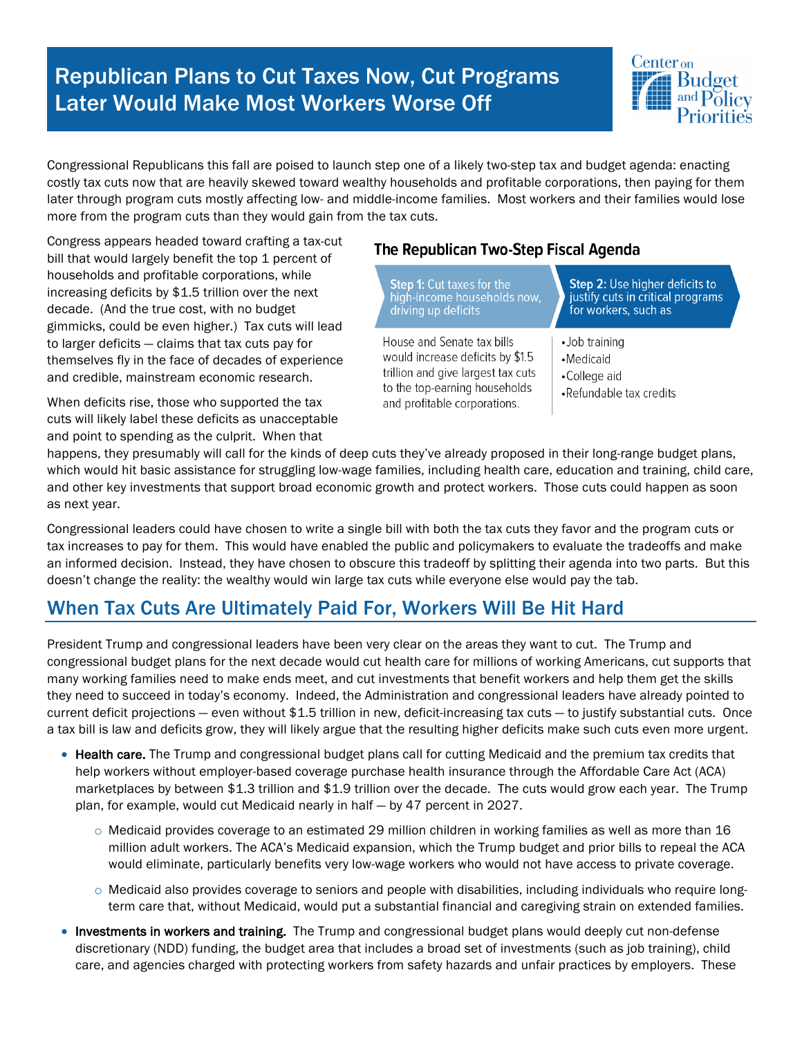## Republican Plans to Cut Taxes Now, Cut Programs Later Would Make Most Workers Worse Off



Congressional Republicans this fall are poised to launch step one of a likely two-step tax and budget agenda: enacting costly tax cuts now that are heavily skewed toward wealthy households and profitable corporations, then paying for them later through program cuts mostly affecting low- and middle-income families. Most workers and their families would lose more from the program cuts than they would gain from the tax cuts.

Congress appears headed toward crafting a tax-cut bill that would largely benefit the top 1 percent of households and profitable corporations, while increasing deficits by \$1.5 trillion over the next decade. (And the true cost, with no budget gimmicks, could be even higher.) Tax cuts will lead to larger deficits — claims that tax cuts pay for themselves fly in the face of decades of experience and credible, mainstream economic research.

When deficits rise, those who supported the tax cuts will likely label these deficits as unacceptable and point to spending as the culprit. When that

## The Republican Two-Step Fiscal Agenda

| <b>Step 1:</b> Cut taxes for the                                                                                                                                      | <b>Step 2: Use higher deficits to</b>                                 |
|-----------------------------------------------------------------------------------------------------------------------------------------------------------------------|-----------------------------------------------------------------------|
| high-income households now,                                                                                                                                           | justify cuts in critical programs                                     |
| driving up deficits                                                                                                                                                   | for workers, such as                                                  |
| House and Senate tax bills<br>would increase deficits by \$1.5<br>trillion and give largest tax cuts<br>to the top-earning households<br>and profitable corporations. | •Job training<br>•Medicaid<br>•College aid<br>•Refundable tax credits |

happens, they presumably will call for the kinds of deep cuts they've already proposed in their long-range budget plans, which would hit basic assistance for struggling low-wage families, including health care, education and training, child care, and other key investments that support broad economic growth and protect workers. Those cuts could happen as soon as next year.

Congressional leaders could have chosen to write a single bill with both the tax cuts they favor and the program cuts or tax increases to pay for them. This would have enabled the public and policymakers to evaluate the tradeoffs and make an informed decision. Instead, they have chosen to obscure this tradeoff by splitting their agenda into two parts. But this doesn't change the reality: the wealthy would win large tax cuts while everyone else would pay the tab.

## When Tax Cuts Are Ultimately Paid For, Workers Will Be Hit Hard

President Trump and congressional leaders have been very clear on the areas they want to cut. The Trump and congressional budget plans for the next decade would cut health care for millions of working Americans, cut supports that many working families need to make ends meet, and cut investments that benefit workers and help them get the skills they need to succeed in today's economy. Indeed, the Administration and congressional leaders have already pointed to current deficit projections — even without \$1.5 trillion in new, deficit-increasing tax cuts — to justify substantial cuts. Once a tax bill is law and deficits grow, they will likely argue that the resulting higher deficits make such cuts even more urgent.

- Health care. The Trump and congressional budget plans call for cutting Medicaid and the premium tax credits that help workers without employer-based coverage purchase health insurance through the Affordable Care Act (ACA) marketplaces by between \$1.3 trillion and \$1.9 trillion over the decade. The cuts would grow each year. The Trump plan, for example, would cut Medicaid nearly in half — by 47 percent in 2027.
	- $\circ$  Medicaid provides coverage to an estimated 29 million children in working families as well as more than 16 million adult workers. The ACA's Medicaid expansion, which the Trump budget and prior bills to repeal the ACA would eliminate, particularly benefits very low-wage workers who would not have access to private coverage.
	- o Medicaid also provides coverage to seniors and people with disabilities, including individuals who require longterm care that, without Medicaid, would put a substantial financial and caregiving strain on extended families.
- Investments in workers and training. The Trump and congressional budget plans would deeply cut non-defense discretionary (NDD) funding, the budget area that includes a broad set of investments (such as job training), child care, and agencies charged with protecting workers from safety hazards and unfair practices by employers. These